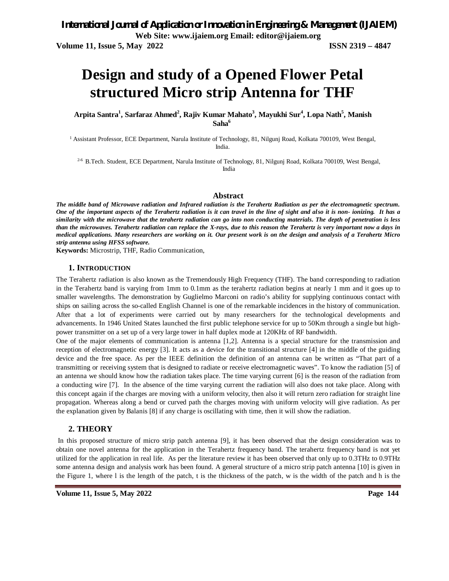# **Design and study of a Opened Flower Petal structured Micro strip Antenna for THF**

**Arpita Santra<sup>1</sup> , Sarfaraz Ahmed<sup>2</sup> , Rajiv Kumar Mahato<sup>3</sup> , Mayukhi Sur<sup>4</sup> , Lopa Nath<sup>5</sup> , Manish Saha<sup>6</sup>**

<sup>1</sup> Assistant Professor, ECE Department, Narula Institute of Technology, 81, Nilgunj Road, Kolkata 700109, West Bengal, India.

<sup>2-6</sup> B.Tech. Student, ECE Department, Narula Institute of Technology, 81, Nilgunj Road, Kolkata 700109, West Bengal, India

#### **Abstract**

*The middle band of Microwave radiation and Infrared radiation is the Terahertz Radiation as per the electromagnetic spectrum. One of the important aspects of the Terahertz radiation is it can travel in the line of sight and also it is non- ionizing. It has a similarity with the microwave that the terahertz radiation can go into non conducting materials. The depth of penetration is less than the microwaves. Terahertz radiation can replace the X-rays, due to this reason the Terahertz is very important now a days in medical applications. Many researchers are working on it. Our present work is on the design and analysis of a Terahertz Micro strip antenna using HFSS software.*

**Keywords:** Microstrip, THF, Radio Communication,

#### **1. INTRODUCTION**

The Terahertz radiation is also known as the Tremendously High Frequency (THF). The band corresponding to radiation in the Terahertz band is varying from 1mm to 0.1mm as the terahertz radiation begins at nearly 1 mm and it goes up to smaller wavelengths. The demonstration by Guglielmo Marconi on radio's ability for supplying continuous contact with ships on sailing across the so-called English Channel is one of the remarkable incidences in the history of communication. After that a lot of experiments were carried out by many researchers for the technological developments and advancements. In 1946 United States launched the first public telephone service for up to 50Km through a single but highpower transmitter on a set up of a very large tower in half duplex mode at 120KHz of RF bandwidth.

One of the major elements of communication is antenna [1,2]. Antenna is a special structure for the transmission and reception of electromagnetic energy [3]. It acts as a device for the transitional structure [4] in the middle of the guiding device and the free space. As per the IEEE definition the definition of an antenna can be written as "That part of a transmitting or receiving system that is designed to radiate or receive electromagnetic waves". To know the radiation [5] of an antenna we should know how the radiation takes place. The time varying current [6] is the reason of the radiation from a conducting wire [7]. In the absence of the time varying current the radiation will also does not take place. Along with this concept again if the charges are moving with a uniform velocity, then also it will return zero radiation for straight line propagation. Whereas along a bend or curved path the charges moving with uniform velocity will give radiation. As per the explanation given by Balanis [8] if any charge is oscillating with time, then it will show the radiation.

#### **2. THEORY**

In this proposed structure of micro strip patch antenna [9], it has been observed that the design consideration was to obtain one novel antenna for the application in the Terahertz frequency band. The terahertz frequency band is not yet utilized for the application in real life. As per the literature review it has been observed that only up to 0.3THz to 0.9THz some antenna design and analysis work has been found. A general structure of a micro strip patch antenna [10] is given in the Figure 1, where l is the length of the patch, t is the thickness of the patch, w is the width of the patch and h is the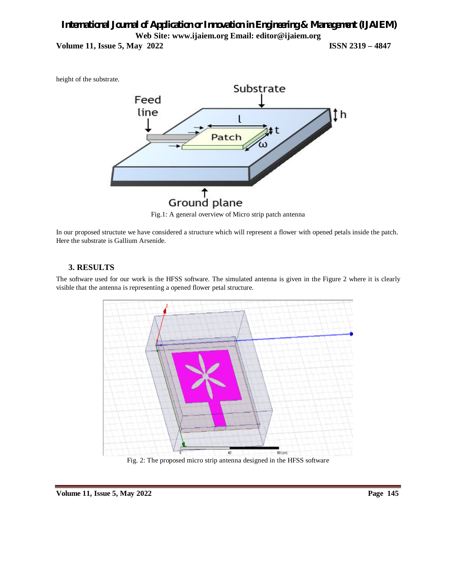height of the substrate.



Fig.1: A general overview of Micro strip patch antenna

In our proposed structute we have considered a structure which will represent a flower with opened petals inside the patch. Here the substrate is Gallium Arsenide.

#### **3. RESULTS**

The software used for our work is the HFSS software. The simulated antenna is given in the Figure 2 where it is clearly visible that the antenna is representing a opened flower petal structure.



Fig. 2: The proposed micro strip antenna designed in the HFSS software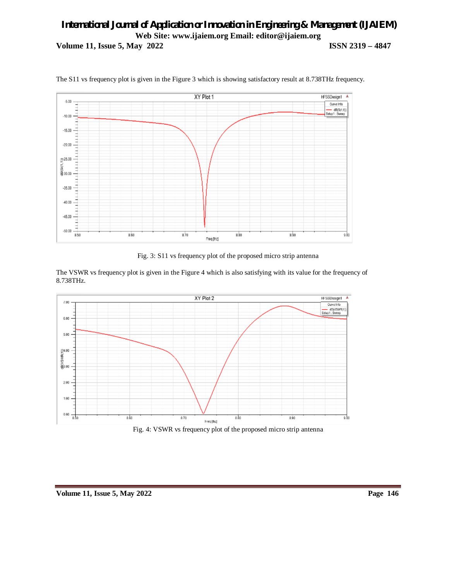

The S11 vs frequency plot is given in the Figure 3 which is showing satisfactory result at 8.738THz frequency.

Fig. 3: S11 vs frequency plot of the proposed micro strip antenna

The VSWR vs frequency plot is given in the Figure 4 which is also satisfying with its value for the frequency of 8.738THz.



Fig. 4: VSWR vs frequency plot of the proposed micro strip antenna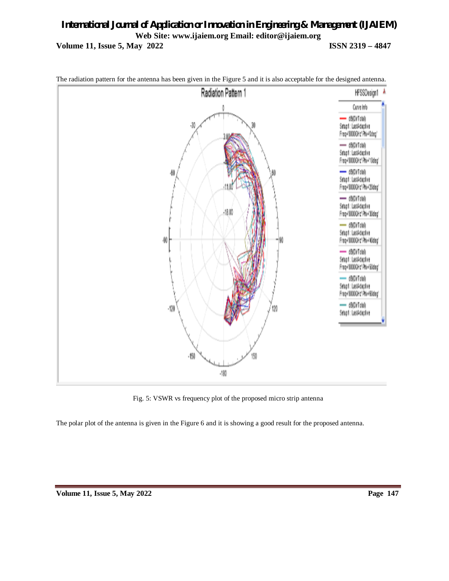

The radiation pattern for the antenna has been given in the Figure 5 and it is also acceptable for the designed antenna.

Fig. 5: VSWR vs frequency plot of the proposed micro strip antenna

The polar plot of the antenna is given in the Figure 6 and it is showing a good result for the proposed antenna.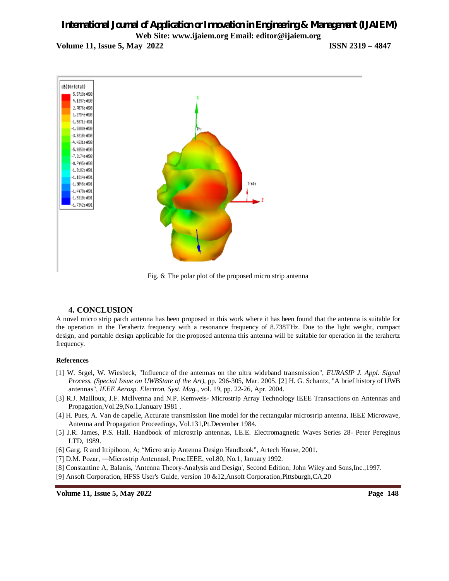

Fig. 6: The polar plot of the proposed micro strip antenna

#### **4. CONCLUSION**

A novel micro strip patch antenna has been proposed in this work where it has been found that the antenna is suitable for the operation in the Terahertz frequency with a resonance frequency of 8.738THz. Due to the light weight, compact design, and portable design applicable for the proposed antenna this antenna will be suitable for operation in the terahertz frequency.

#### **References**

- [1] W. Srgel, W. Wiesbeck, "Influence of the antennas on the ultra wideband transmission", *EURASIP J. Appl. Signal Process. (Special Issue on UWBState of the Art)*, pp. 296-305, Mar. 2005. [2] H. G. Schantz, "A brief history of UWB antennas", *IEEE Aerosp. Electron. Syst. Mag.*, vol. 19, pp. 22-26, Apr. 2004.
- [3] R.J. Mailloux, J.F. Mcllvenna and N.P. Kemweis- Microstrip Array Technology IEEE Transactions on Antennas and Propagation,Vol.29,No.1,January 1981 .
- [4] H. Pues, A. Van de capelle, Accurate transmission line model for the rectangular microstrip antenna, IEEE Microwave, Antenna and Propagation Proceedings, Vol.131,Pt.December 1984.
- [5] J.R. James, P.S. Hall. Handbook of microstrip antennas, I.E.E. Electromagnetic Waves Series 28- Peter Pereginus LTD, 1989.
- [6] Garg, R and Ittipiboon, A; "Micro strip Antenna Design Handbook", Artech House, 2001.
- [7] D.M. Pozar, —Microstrip Antennasl, Proc.IEEE, vol.80, No.1, January 1992.
- [8] Constantine A, Balanis, 'Antenna Theory-Analysis and Design', Second Edition, John Wiley and Sons,Inc.,1997.
- [9] Ansoft Corporation, HFSS User's Guide, version 10 &12,Ansoft Corporation,Pittsburgh,CA,20

**Volume 11, Issue 5, May 2022 Page 148**